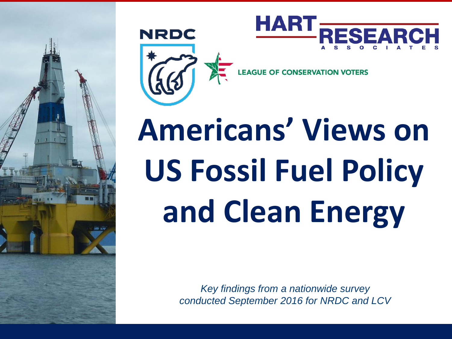





**EAGUE OF CONSER** 

# **Americans' Views on US Fossil Fuel Policy and Clean Energy**

*Key findings from a nationwide survey conducted September 2016 for NRDC and LCV*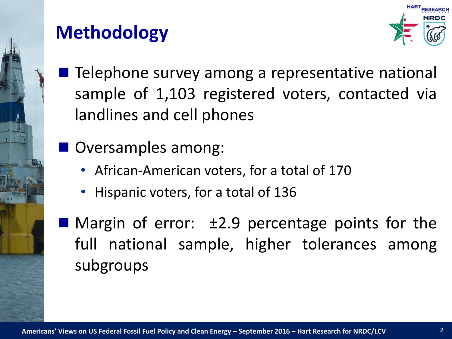

# **Methodology**



■ Telephone survey among a representative national sample of 1,103 registered voters, contacted via landlines and cell phones

Oversamples among:

- African-American voters, for a total of 170
- Hispanic voters, for a total of 136

**Margin of error:**  $\pm 2.9$  **percentage points for the** full national sample, higher tolerances among subgroups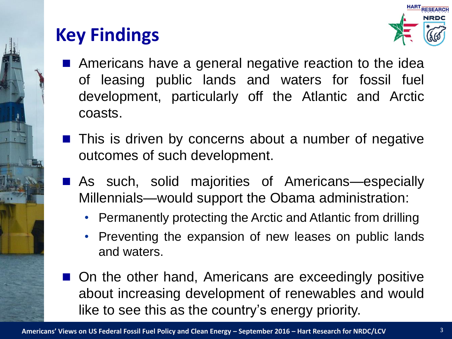

# **Key Findings**



- Americans have a general negative reaction to the idea of leasing public lands and waters for fossil fuel development, particularly off the Atlantic and Arctic coasts.
- $\blacksquare$  This is driven by concerns about a number of negative outcomes of such development.
- As such, solid majorities of Americans-especially Millennials—would support the Obama administration:
	- Permanently protecting the Arctic and Atlantic from drilling
	- Preventing the expansion of new leases on public lands and waters.
- On the other hand, Americans are exceedingly positive about increasing development of renewables and would like to see this as the country's energy priority.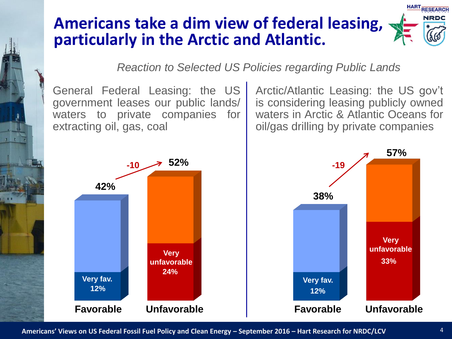# **Americans take a dim view of federal leasing, particularly in the Arctic and Atlantic.**

*Reaction to Selected US Policies regarding Public Lands*

General Federal Leasing: the US government leases our public lands/ waters to private companies for extracting oil, gas, coal

Arctic/Atlantic Leasing: the US gov't is considering leasing publicly owned waters in Arctic & Atlantic Oceans for oil/gas drilling by private companies



**Americans' Views on US Federal Fossil Fuel Policy and Clean Energy – September 2016 – Hart Research for NRDC/LCV**

**33%**

**Very unfavorable**

**57%**

**HART RESEARCH** NRDC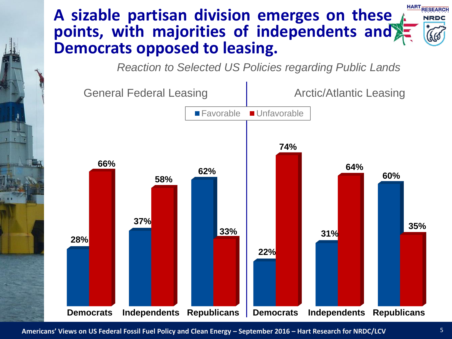#### **HART RESEARCH A sizable partisan division emerges on these points, with majorities of independents and Democrats opposed to leasing.**

*Reaction to Selected US Policies regarding Public Lands*



**Americans' Views on US Federal Fossil Fuel Policy and Clean Energy – September 2016 – Hart Research for NRDC/LCV**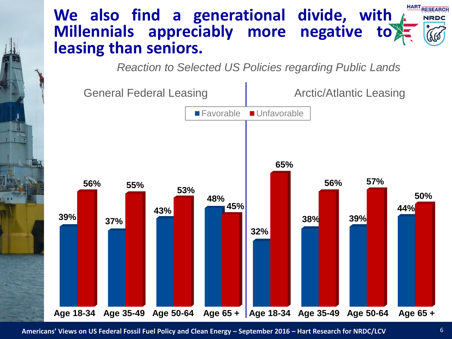#### **HART RESEARCH We also find a generational divide, with Millennials appreciably more negative to leasing than seniors.**

*Reaction to Selected US Policies regarding Public Lands*



**Americans' Views on US Federal Fossil Fuel Policy and Clean Energy – September 2016 – Hart Research for NRDC/LCV**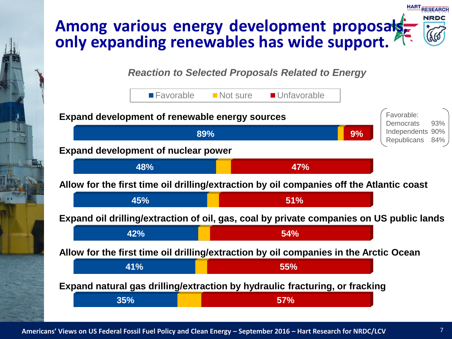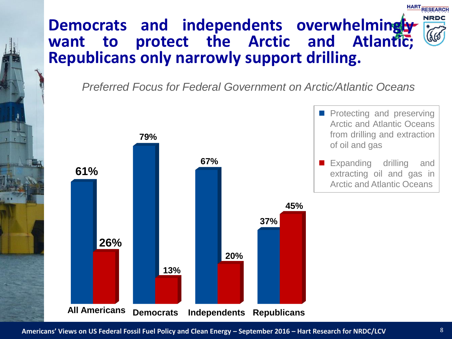## **Democrats and independents overwhelmingly want to protect the Arctic and Atlantic; Republicans only narrowly support drilling.**

*Preferred Focus for Federal Government on Arctic/Atlantic Oceans*



**HART RESEARCH**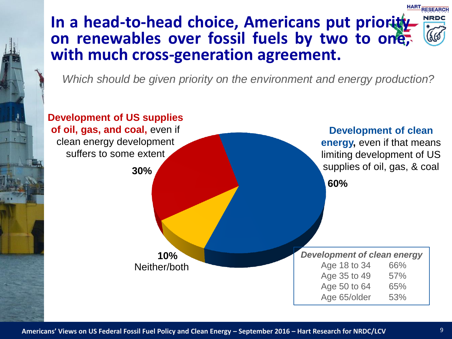#### **HART RESEARCH In a head-to-head choice, Americans put priority on renewables over fossil fuels by two to one, with much cross-generation agreement.**

*Which should be given priority on the environment and energy production?* 

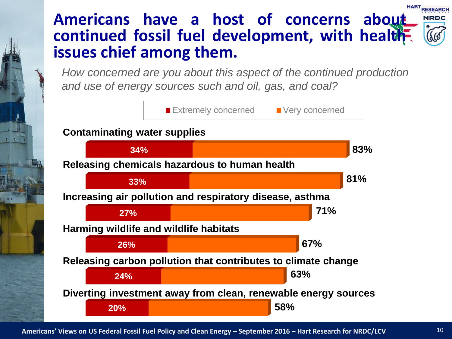#### **HART RESEARCH Americans have a host of concerns about continued fossil fuel development, with health issues chief among them.**

*How concerned are you about this aspect of the continued production and use of energy sources such and oil, gas, and coal?*

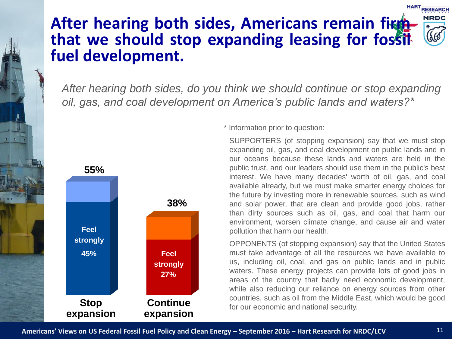### **After hearing both sides, Americans remain fighthat we should stop expanding leasing for fossil fuel development.**

*After hearing both sides, do you think we should continue or stop expanding oil, gas, and coal development on America's public lands and waters?\**



\* Information prior to question:

SUPPORTERS (of stopping expansion) say that we must stop expanding oil, gas, and coal development on public lands and in our oceans because these lands and waters are held in the public trust, and our leaders should use them in the public's best interest. We have many decades' worth of oil, gas, and coal available already, but we must make smarter energy choices for the future by investing more in renewable sources, such as wind and solar power, that are clean and provide good jobs, rather than dirty sources such as oil, gas, and coal that harm our environment, worsen climate change, and cause air and water pollution that harm our health.

OPPONENTS (of stopping expansion) say that the United States must take advantage of all the resources we have available to us, including oil, coal, and gas on public lands and in public waters. These energy projects can provide lots of good jobs in areas of the country that badly need economic development, while also reducing our reliance on energy sources from other countries, such as oil from the Middle East, which would be good for our economic and national security.

**HART RESEARCH**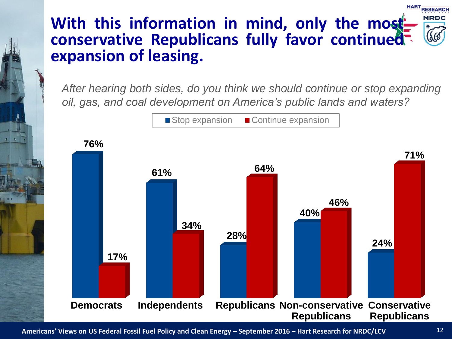## **With this information in mind, only the most conservative Republicans fully favor continued expansion of leasing.**

*After hearing both sides, do you think we should continue or stop expanding oil, gas, and coal development on America's public lands and waters?*



**Americans' Views on US Federal Fossil Fuel Policy and Clean Energy – September 2016 – Hart Research for NRDC/LCV**

**HART RESEARCH**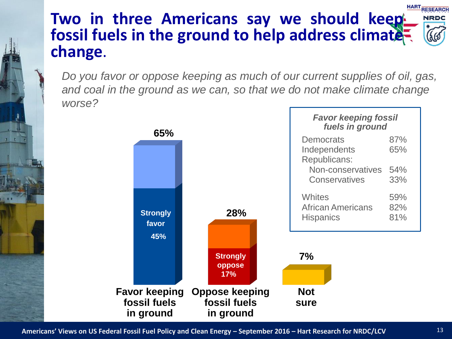#### **HART RESEARCH Two in three Americans say we should keep NRDC fossil fuels in the ground to help address climate change**.

*Do you favor or oppose keeping as much of our current supplies of oil, gas, and coal in the ground as we can, so that we do not make climate change worse?*



**Americans' Views on US Federal Fossil Fuel Policy and Clean Energy – September 2016 – Hart Research for NRDC/LCV**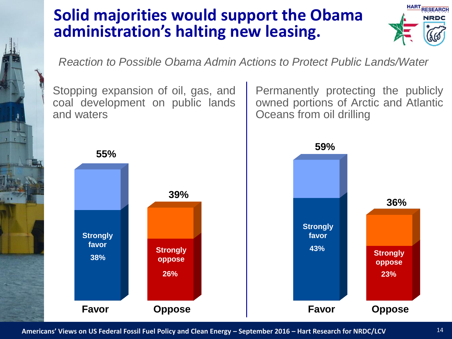# **Solid majorities would support the Obama administration's halting new leasing.**



*Reaction to Possible Obama Admin Actions to Protect Public Lands/Water*

Stopping expansion of oil, gas, and coal development on public lands and waters

Permanently protecting the publicly owned portions of Arctic and Atlantic Oceans from oil drilling